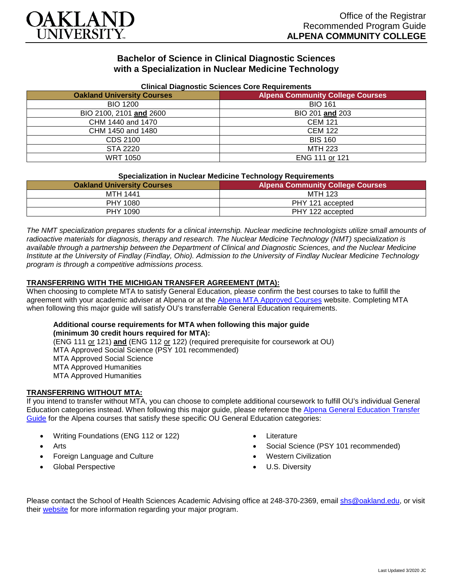

## **Bachelor of Science in Clinical Diagnostic Sciences with a Specialization in Nuclear Medicine Technology**

| Clinical Diagnostic Sciences Core Requirements |                                         |
|------------------------------------------------|-----------------------------------------|
| <b>Oakland University Courses</b>              | <b>Alpena Community College Courses</b> |
| <b>BIO 1200</b>                                | <b>BIO 161</b>                          |
| BIO 2100, 2101 and 2600                        | BIO 201 and 203                         |
| CHM 1440 and 1470                              | <b>CEM 121</b>                          |
| CHM 1450 and 1480                              | <b>CEM 122</b>                          |
| CDS 2100                                       | <b>BIS 160</b>                          |
| STA 2220                                       | MTH 223                                 |
| <b>WRT 1050</b>                                | ENG 111 or 121                          |

### **Clinical Diagnostic Sciences Core Requirements**

| <b>Specialization in Nuclear Medicine Technology Requirements</b> |                                         |
|-------------------------------------------------------------------|-----------------------------------------|
| <b>Oakland University Courses</b>                                 | <b>Alpena Community College Courses</b> |
| MTH 1441                                                          | MTH 123                                 |
| PHY 1080                                                          | PHY 121 accepted                        |
| PHY 1090                                                          | PHY 122 accepted                        |
|                                                                   |                                         |

*The NMT specialization prepares students for a clinical internship. Nuclear medicine technologists utilize small amounts of radioactive materials for diagnosis, therapy and research. The Nuclear Medicine Technology (NMT) specialization is available through a partnership between the Department of Clinical and Diagnostic Sciences, and the Nuclear Medicine Institute at the University of Findlay (Findlay, Ohio). Admission to the University of Findlay Nuclear Medicine Technology program is through a competitive admissions process.*

### **TRANSFERRING WITH THE MICHIGAN TRANSFER AGREEMENT (MTA):**

When choosing to complete MTA to satisfy General Education, please confirm the best courses to take to fulfill the agreement with your academic adviser at Alpena or at the [Alpena MTA Approved Courses](https://discover.alpenacc.edu/admissions/current_students/MTA.php) website. Completing MTA when following this major guide will satisfy OU's transferrable General Education requirements.

# **Additional course requirements for MTA when following this major guide (minimum 30 credit hours required for MTA):**

(ENG 111 or 121) **and** (ENG 112 or 122) (required prerequisite for coursework at OU) MTA Approved Social Science (PSY 101 recommended) MTA Approved Social Science MTA Approved Humanities MTA Approved Humanities

### **TRANSFERRING WITHOUT MTA:**

If you intend to transfer without MTA, you can choose to complete additional coursework to fulfill OU's individual General Education categories instead. When following this major guide, please reference the [Alpena General Education Transfer](https://www.oakland.edu/Assets/Oakland/program-guides/alpena-community-college/university-general-education-requirements/Alpena%20Gen%20Ed.pdf)  [Guide](https://www.oakland.edu/Assets/Oakland/program-guides/alpena-community-college/university-general-education-requirements/Alpena%20Gen%20Ed.pdf) for the Alpena courses that satisfy these specific OU General Education categories:

- Writing Foundations (ENG 112 or 122)
- Arts
- Foreign Language and Culture
- Global Perspective
- **Literature**
- Social Science (PSY 101 recommended)
- Western Civilization
- U.S. Diversity

Please contact the School of Health Sciences Academic Advising office at 248-370-2369, email [shs@oakland.edu,](mailto:shs@oakland.edu) or visit their [website](http://www.oakland.edu/shs/advising) for more information regarding your major program.